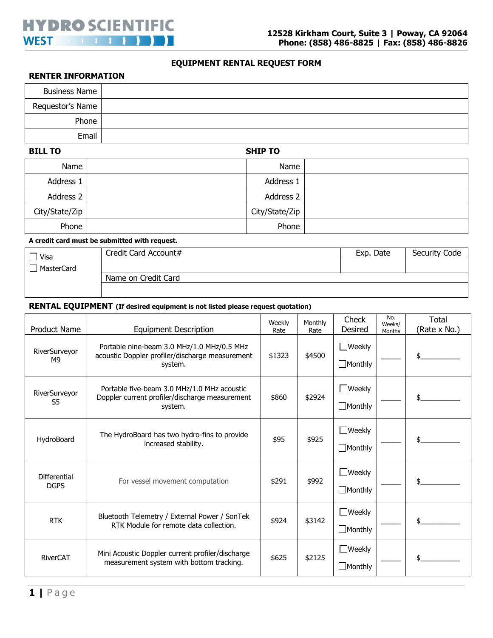# **EQUIPMENT RENTAL REQUEST FORM**

# **RENTER INFORMATION**

| <b>Business Name</b> |  |
|----------------------|--|
| Requestor's Name     |  |
| Phone                |  |
| Email                |  |

**BILL TO SHIP TO**

| Name           | Name           |  |
|----------------|----------------|--|
| Address 1      | Address 1      |  |
| Address 2      | Address 2      |  |
| City/State/Zip | City/State/Zip |  |
| Phone          | Phone          |  |

### **A credit card must be submitted with request.**

| □ Visa     | Credit Card Account# | Exp. Date | Security Code |
|------------|----------------------|-----------|---------------|
|            |                      |           |               |
| MasterCard |                      |           |               |
|            | Name on Credit Card  |           |               |
|            |                      |           |               |
|            |                      |           |               |

## **RENTAL EQUIPMENT (If desired equipment is not listed please request quotation)**

| <b>Product Name</b>                | <b>Equipment Description</b>                                                                             | Weekly<br>Rate | Monthly<br>Rate | Check<br>Desired                | No.<br>Weeks/<br>Months | Total<br>(Rate x No.) |
|------------------------------------|----------------------------------------------------------------------------------------------------------|----------------|-----------------|---------------------------------|-------------------------|-----------------------|
| RiverSurveyor<br>M <sub>9</sub>    | Portable nine-beam 3.0 MHz/1.0 MHz/0.5 MHz<br>acoustic Doppler profiler/discharge measurement<br>system. | \$1323         | \$4500          | $\Box$ Weekly<br>$\Box$ Monthly |                         |                       |
| RiverSurveyor<br>S <sub>5</sub>    | Portable five-beam 3.0 MHz/1.0 MHz acoustic<br>Doppler current profiler/discharge measurement<br>system. | \$860          | \$2924          | $\Box$ Weekly<br>$\Box$ Monthly |                         |                       |
| HydroBoard                         | The HydroBoard has two hydro-fins to provide<br>increased stability.                                     | \$95           | \$925           | $\Box$ Weekly<br>$\Box$ Monthly |                         |                       |
| <b>Differential</b><br><b>DGPS</b> | For vessel movement computation                                                                          | \$291          | \$992           | $\Box$ Weekly<br>$\Box$ Monthly |                         |                       |
| <b>RTK</b>                         | Bluetooth Telemetry / External Power / SonTek<br>RTK Module for remote data collection.                  | \$924          | \$3142          | $\Box$ Weekly<br>$\Box$ Monthly |                         | \$                    |
| <b>RiverCAT</b>                    | Mini Acoustic Doppler current profiler/discharge<br>measurement system with bottom tracking.             | \$625          | \$2125          | $\Box$ Weekly<br>$\Box$ Monthly |                         |                       |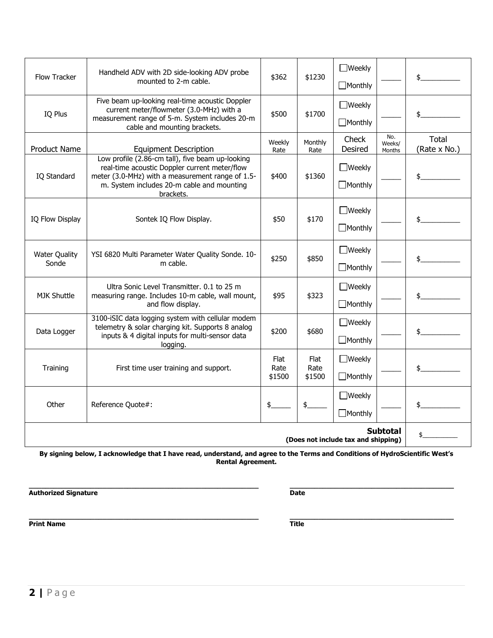| Flow Tracker                                           | Handheld ADV with 2D side-looking ADV probe<br>mounted to 2-m cable.                                                                                                                                             | \$362                         | \$1230                 | $\Box$ Weekly<br>$\Box$ Monthly |                         | \$                    |
|--------------------------------------------------------|------------------------------------------------------------------------------------------------------------------------------------------------------------------------------------------------------------------|-------------------------------|------------------------|---------------------------------|-------------------------|-----------------------|
| IQ Plus                                                | Five beam up-looking real-time acoustic Doppler<br>current meter/flowmeter (3.0-MHz) with a<br>measurement range of 5-m. System includes 20-m<br>cable and mounting brackets.                                    | \$500                         | \$1700                 | $\Box$ Weekly<br>$\Box$ Monthly |                         | \$                    |
| <b>Product Name</b>                                    | <b>Equipment Description</b>                                                                                                                                                                                     | Weekly<br>Rate                | Monthly<br>Rate        | Check<br>Desired                | No.<br>Weeks/<br>Months | Total<br>(Rate x No.) |
| IQ Standard                                            | Low profile (2.86-cm tall), five beam up-looking<br>real-time acoustic Doppler current meter/flow<br>meter (3.0-MHz) with a measurement range of 1.5-<br>m. System includes 20-m cable and mounting<br>brackets. | \$400                         | \$1360                 | $\Box$ Weekly<br>$\Box$ Monthly |                         | \$                    |
| IQ Flow Display                                        | Sontek IQ Flow Display.                                                                                                                                                                                          | \$50                          | \$170                  | $\Box$ Weekly<br>$\Box$ Monthly |                         | \$                    |
| <b>Water Quality</b><br>Sonde                          | YSI 6820 Multi Parameter Water Quality Sonde. 10-<br>m cable.                                                                                                                                                    | \$250                         | \$850                  | $\Box$ Weekly<br>$\Box$ Monthly |                         | \$                    |
| <b>MJK Shuttle</b>                                     | Ultra Sonic Level Transmitter. 0.1 to 25 m<br>measuring range. Includes 10-m cable, wall mount,<br>and flow display.                                                                                             | \$95                          | \$323                  | $\Box$ Weekly<br>$\Box$ Monthly |                         | \$                    |
| Data Logger                                            | 3100-iSIC data logging system with cellular modem<br>telemetry & solar charging kit. Supports 8 analog<br>inputs & 4 digital inputs for multi-sensor data<br>logging.                                            | \$200                         | \$680                  | $\Box$ Weekly<br>$\Box$ Monthly |                         | \$                    |
| Training                                               | First time user training and support.                                                                                                                                                                            | <b>Flat</b><br>Rate<br>\$1500 | Flat<br>Rate<br>\$1500 | $\Box$ Weekly<br>$\Box$ Monthly |                         | \$                    |
| Other                                                  | Reference Quote#:                                                                                                                                                                                                | \$                            | \$                     | $\Box$ Weekly<br>$\Box$ Monthly |                         | \$                    |
| <b>Subtotal</b><br>(Does not include tax and shipping) |                                                                                                                                                                                                                  |                               |                        |                                 |                         |                       |

**By signing below, I acknowledge that I have read, understand, and agree to the Terms and Conditions of HydroScientific West's Rental Agreement.**

**\_\_\_\_\_\_\_\_\_\_\_\_\_\_\_\_\_\_\_\_\_\_\_\_\_\_\_\_\_\_\_\_\_\_\_\_\_\_\_\_\_\_\_\_\_\_\_\_\_\_\_\_\_\_\_\_ \_\_\_\_\_\_\_\_\_\_\_\_\_\_\_\_\_\_\_\_\_\_\_\_\_\_\_\_\_\_\_\_\_\_\_\_\_\_\_\_ Authorized Signature Date** 

**Print Name Title** 

**\_\_\_\_\_\_\_\_\_\_\_\_\_\_\_\_\_\_\_\_\_\_\_\_\_\_\_\_\_\_\_\_\_\_\_\_\_\_\_\_\_\_\_\_\_\_\_\_\_\_\_\_\_\_\_\_ \_\_\_\_\_\_\_\_\_\_\_\_\_\_\_\_\_\_\_\_\_\_\_\_\_\_\_\_\_\_\_\_\_\_\_\_\_\_\_\_**